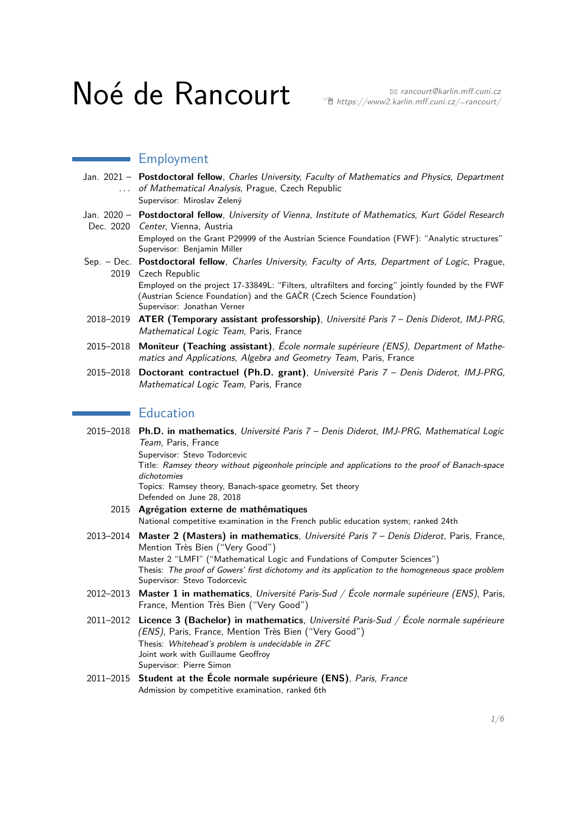# Noé de Rancourt ret metalin.mff.cuni.cz/∼rancourt/

## Employment

- Jan. 2021 **Postdoctoral fellow**, Charles University, Faculty of Mathematics and Physics, Department ... of Mathematical Analysis, Prague, Czech Republic
	- Supervisor: Miroslav Zelený
- Jan. 2020 **Postdoctoral fellow**, University of Vienna, Institute of Mathematics, Kurt Gödel Research
	- Dec. 2020 Center, Vienna, Austria Employed on the Grant P29999 of the Austrian Science Foundation (FWF): "Analytic structures" Supervisor: Benjamin Miller
- Sep. Dec. Postdoctoral fellow, Charles University, Faculty of Arts, Department of Logic, Prague, 2019 Czech Republic Employed on the project 17-33849L: "Filters, ultrafilters and forcing" jointly founded by the FWF (Austrian Science Foundation) and the GAČR (Czech Science Foundation)
- Supervisor: Jonathan Verner 2018–2019 **ATER (Temporary assistant professorship)**, Université Paris 7 – Denis Diderot, IMJ-PRG, Mathematical Logic Team, Paris, France
- 2015–2018 **Moniteur (Teaching assistant)**, École normale supérieure (ENS), Department of Mathematics and Applications, Algebra and Geometry Team, Paris, France
- 2015–2018 **Doctorant contractuel (Ph.D. grant)**, Université Paris 7 Denis Diderot, IMJ-PRG, Mathematical Logic Team, Paris, France

## **Education**

| 2015-2018 Ph.D. in mathematics, Université Paris 7 - Denis Diderot, IMJ-PRG, Mathematical Logic<br>Team, Paris, France                                                                                                                                                         |
|--------------------------------------------------------------------------------------------------------------------------------------------------------------------------------------------------------------------------------------------------------------------------------|
| Supervisor: Stevo Todorcevic                                                                                                                                                                                                                                                   |
| Title: Ramsey theory without pigeonhole principle and applications to the proof of Banach-space<br>dichotomies                                                                                                                                                                 |
| Topics: Ramsey theory, Banach-space geometry, Set theory<br>Defended on June 28, 2018                                                                                                                                                                                          |
| 2015 Agrégation externe de mathématiques                                                                                                                                                                                                                                       |
| National competitive examination in the French public education system; ranked 24th                                                                                                                                                                                            |
| 2013-2014 Master 2 (Masters) in mathematics, Université Paris 7 - Denis Diderot, Paris, France,<br>Mention Très Bien ("Very Good")                                                                                                                                             |
| Master 2 "LMFI" ("Mathematical Logic and Fundations of Computer Sciences")<br>Thesis: The proof of Gowers' first dichotomy and its application to the homogeneous space problem<br>Supervisor: Stevo Todorcevic                                                                |
| 2012-2013 Master 1 in mathematics, Université Paris-Sud / École normale supérieure (ENS), Paris,<br>France, Mention Très Bien ("Very Good")                                                                                                                                    |
| 2011-2012 Licence 3 (Bachelor) in mathematics, Université Paris-Sud / École normale supérieure<br>(ENS), Paris, France, Mention Très Bien ("Very Good")<br>Thesis: Whitehead's problem is undecidable in ZFC<br>Joint work with Guillaume Geoffroy<br>Supervisor: Pierre Simon |
|                                                                                                                                                                                                                                                                                |

2011–2015 **Student at the École normale supérieure (ENS)**, Paris, France Admission by competitive examination, ranked 6th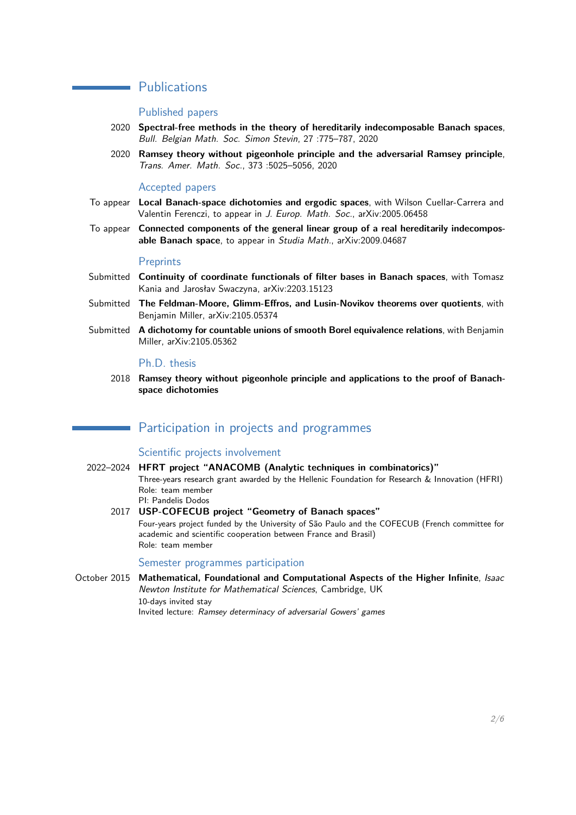## **Publications**

#### Published papers

- 2020 **Spectral-free methods in the theory of hereditarily indecomposable Banach spaces**, Bull. Belgian Math. Soc. Simon Stevin, 27 :775–787, 2020
- 2020 **Ramsey theory without pigeonhole principle and the adversarial Ramsey principle**, Trans. Amer. Math. Soc., 373 :5025–5056, 2020

#### Accepted papers

- To appear **Local Banach-space dichotomies and ergodic spaces**, with Wilson Cuellar-Carrera and Valentin Ferenczi, to appear in J. Europ. Math. Soc., arXiv:2005.06458
- To appear **Connected components of the general linear group of a real hereditarily indecomposable Banach space**, to appear in Studia Math., arXiv:2009.04687

#### **Preprints**

- Submitted **Continuity of coordinate functionals of filter bases in Banach spaces**, with Tomasz Kania and Jarosłav Swaczyna, arXiv:2203.15123
- Submitted **The Feldman-Moore, Glimm-Effros, and Lusin-Novikov theorems over quotients**, with Benjamin Miller, arXiv:2105.05374
- Submitted **A dichotomy for countable unions of smooth Borel equivalence relations**, with Benjamin Miller, arXiv:2105.05362

#### Ph.D. thesis

2018 **Ramsey theory without pigeonhole principle and applications to the proof of Banachspace dichotomies**

### Participation in projects and programmes

#### Scientific projects involvement

- 2022–2024 **HFRT project "ANACOMB (Analytic techniques in combinatorics)"** Three-years research grant awarded by the Hellenic Foundation for Research & Innovation (HFRI) Role: team member PI: Pandelis Dodos
	- 2017 **USP-COFECUB project "Geometry of Banach spaces"** Four-years project funded by the University of São Paulo and the COFECUB (French committee for academic and scientific cooperation between France and Brasil) Role: team member

#### Semester programmes participation

October 2015 **Mathematical, Foundational and Computational Aspects of the Higher Infinite**, Isaac Newton Institute for Mathematical Sciences, Cambridge, UK 10-days invited stay Invited lecture: Ramsey determinacy of adversarial Gowers' games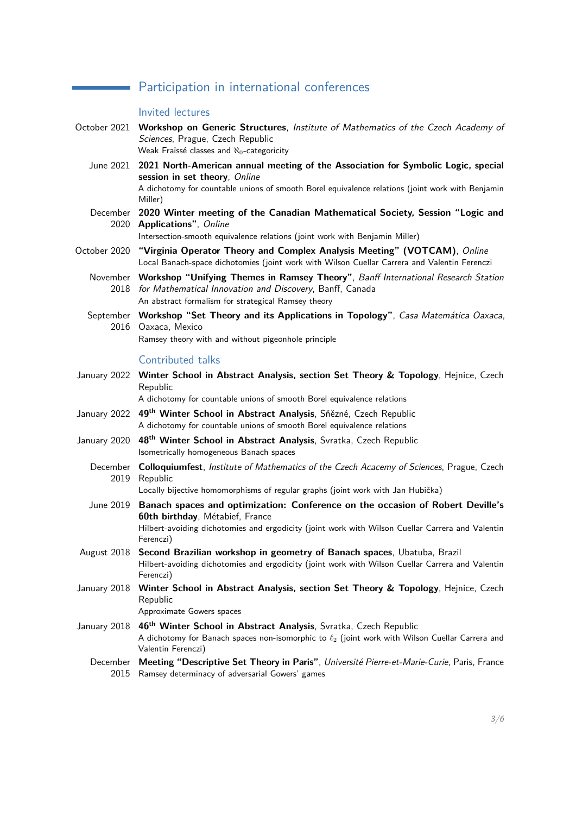## **Participation in international conferences**

## Invited lectures

|                  | Invited lectures                                                                                                                                                                                                                             |
|------------------|----------------------------------------------------------------------------------------------------------------------------------------------------------------------------------------------------------------------------------------------|
|                  | October 2021 Workshop on Generic Structures, Institute of Mathematics of the Czech Academy of<br>Sciences, Prague, Czech Republic<br>Weak Fraïssé classes and $\aleph_0$ -categoricity                                                       |
| June 2021        | 2021 North-American annual meeting of the Association for Symbolic Logic, special<br>session in set theory, Online<br>A dichotomy for countable unions of smooth Borel equivalence relations (joint work with Benjamin<br>Miller)            |
| December         | 2020 Winter meeting of the Canadian Mathematical Society, Session "Logic and<br>2020 Applications", Online<br>Intersection-smooth equivalence relations (joint work with Benjamin Miller)                                                    |
| October 2020     | "Virginia Operator Theory and Complex Analysis Meeting" (VOTCAM), Online<br>Local Banach-space dichotomies (joint work with Wilson Cuellar Carrera and Valentin Ferenczi                                                                     |
| 2018             | November Workshop "Unifying Themes in Ramsey Theory", Banff International Research Station<br>for Mathematical Innovation and Discovery, Banff, Canada<br>An abstract formalism for strategical Ramsey theory                                |
| 2016             | September Workshop "Set Theory and its Applications in Topology", Casa Matemática Oaxaca,<br>Oaxaca, Mexico<br>Ramsey theory with and without pigeonhole principle                                                                           |
|                  | Contributed talks                                                                                                                                                                                                                            |
| January 2022     | Winter School in Abstract Analysis, section Set Theory & Topology, Hejnice, Czech<br>Republic<br>A dichotomy for countable unions of smooth Borel equivalence relations                                                                      |
| January 2022     | 49 <sup>th</sup> Winter School in Abstract Analysis, Sňězné, Czech Republic<br>A dichotomy for countable unions of smooth Borel equivalence relations                                                                                        |
| January 2020     | 48 <sup>th</sup> Winter School in Abstract Analysis, Svratka, Czech Republic<br>Isometrically homogeneous Banach spaces                                                                                                                      |
| 2019             | December Colloquiumfest, Institute of Mathematics of the Czech Acacemy of Sciences, Prague, Czech<br>Republic<br>Locally bijective homomorphisms of regular graphs (joint work with Jan Hubička)                                             |
|                  | June 2019 Banach spaces and optimization: Conference on the occasion of Robert Deville's<br>60th birthday, Métabief, France<br>Hilbert-avoiding dichotomies and ergodicity (joint work with Wilson Cuellar Carrera and Valentin<br>Ferenczi) |
|                  | August 2018 Second Brazilian workshop in geometry of Banach spaces, Ubatuba, Brazil<br>Hilbert-avoiding dichotomies and ergodicity (joint work with Wilson Cuellar Carrera and Valentin<br>Ferenczi)                                         |
| January 2018     | Winter School in Abstract Analysis, section Set Theory & Topology, Hejnice, Czech<br>Republic<br>Approximate Gowers spaces                                                                                                                   |
| January 2018     | 46 <sup>th</sup> Winter School in Abstract Analysis, Svratka, Czech Republic<br>A dichotomy for Banach spaces non-isomorphic to $\ell_2$ (joint work with Wilson Cuellar Carrera and<br>Valentin Ferenczi)                                   |
| December<br>2015 | Meeting "Descriptive Set Theory in Paris", Université Pierre-et-Marie-Curie, Paris, France<br>Ramsey determinacy of adversarial Gowers' games                                                                                                |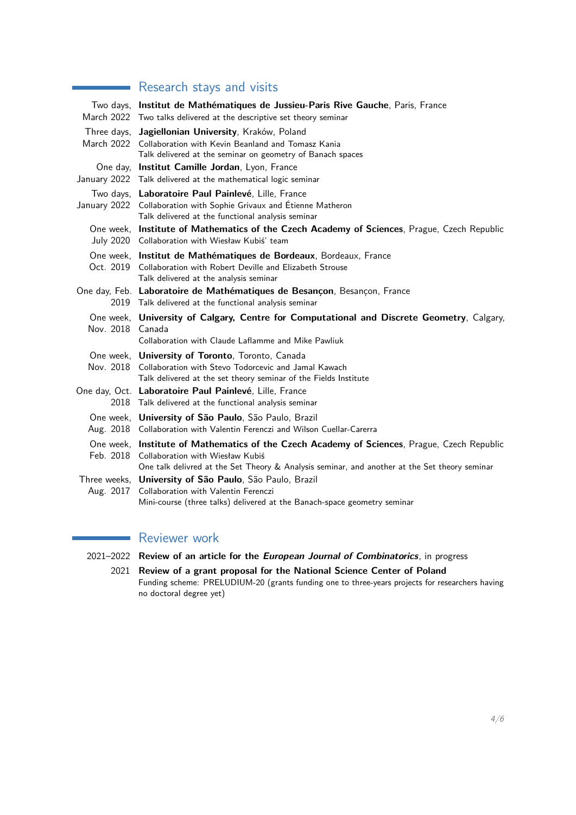## **Research stays and visits**

|                  | Two days, Institut de Mathématiques de Jussieu-Paris Rive Gauche, Paris, France                                                                 |
|------------------|-------------------------------------------------------------------------------------------------------------------------------------------------|
|                  | March 2022 Two talks delivered at the descriptive set theory seminar                                                                            |
|                  | Three days, Jagiellonian University, Kraków, Poland                                                                                             |
|                  | March 2022 Collaboration with Kevin Beanland and Tomasz Kania                                                                                   |
|                  | Talk delivered at the seminar on geometry of Banach spaces                                                                                      |
|                  | One day, Institut Camille Jordan, Lyon, France                                                                                                  |
|                  | January 2022 Talk delivered at the mathematical logic seminar                                                                                   |
|                  | Two days, Laboratoire Paul Painlevé, Lille, France                                                                                              |
|                  | January 2022 Collaboration with Sophie Grivaux and Étienne Matheron                                                                             |
|                  | Talk delivered at the functional analysis seminar                                                                                               |
|                  | One week, Institute of Mathematics of the Czech Academy of Sciences, Prague, Czech Republic<br>July 2020 Collaboration with Wiesław Kubiś' team |
|                  | One week, Institut de Mathématiques de Bordeaux, Bordeaux, France                                                                               |
|                  | Oct. 2019 Collaboration with Robert Deville and Elizabeth Strouse                                                                               |
|                  | Talk delivered at the analysis seminar                                                                                                          |
|                  | One day, Feb. Laboratoire de Mathématiques de Besançon, Besançon, France                                                                        |
|                  | 2019 Talk delivered at the functional analysis seminar                                                                                          |
| Nov. 2018 Canada | One week, University of Calgary, Centre for Computational and Discrete Geometry, Calgary,                                                       |
|                  | Collaboration with Claude Laflamme and Mike Pawliuk                                                                                             |
|                  | One week, <b>University of Toronto</b> , Toronto, Canada                                                                                        |
|                  | Nov. 2018 Collaboration with Stevo Todorcevic and Jamal Kawach                                                                                  |
|                  | Talk delivered at the set theory seminar of the Fields Institute                                                                                |
| 2018             | One day, Oct. Laboratoire Paul Painlevé, Lille, France<br>Talk delivered at the functional analysis seminar                                     |
|                  |                                                                                                                                                 |
|                  | One week, University of São Paulo, São Paulo, Brazil<br>Aug. 2018 Collaboration with Valentin Ferenczi and Wilson Cuellar-Carerra               |
|                  |                                                                                                                                                 |
|                  | One week, Institute of Mathematics of the Czech Academy of Sciences, Prague, Czech Republic<br>Feb. 2018 Collaboration with Wiesław Kubiś       |
|                  | One talk delivred at the Set Theory & Analysis seminar, and another at the Set theory seminar                                                   |
|                  | Three weeks, University of São Paulo, São Paulo, Brazil                                                                                         |
| Aug. 2017        | Collaboration with Valentin Ferenczi                                                                                                            |
|                  | Mini-course (three talks) delivered at the Banach-space geometry seminar                                                                        |

## Reviewer work

- 2021–2022 **Review of an article for the European Journal of Combinatorics**, in progress
	- 2021 **Review of a grant proposal for the National Science Center of Poland** Funding scheme: PRELUDIUM-20 (grants funding one to three-years projects for researchers having no doctoral degree yet)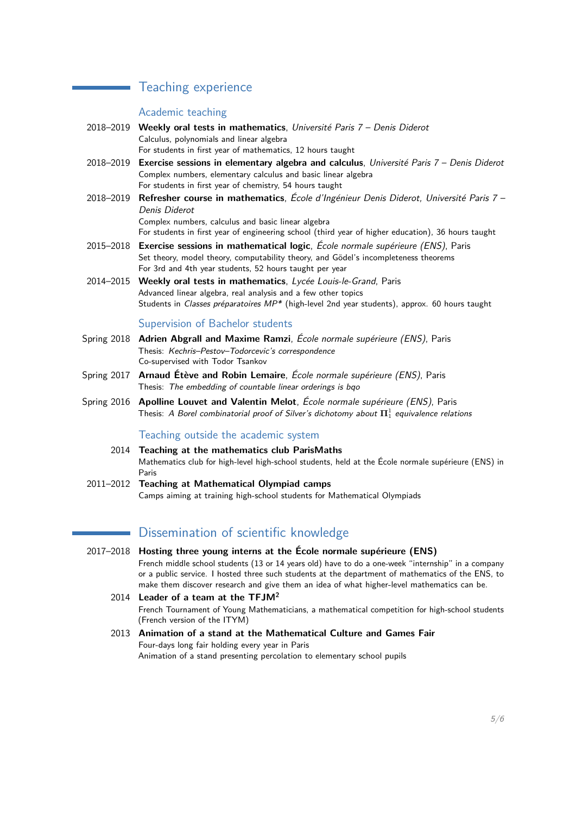## Teaching experience

#### Academic teaching

 $\mathcal{L}^{\text{max}}_{\text{max}}$  , where  $\mathcal{L}^{\text{max}}_{\text{max}}$ 

- 2018–2019 **Weekly oral tests in mathematics**, Université Paris 7 Denis Diderot Calculus, polynomials and linear algebra For students in first year of mathematics, 12 hours taught
- 2018–2019 **Exercise sessions in elementary algebra and calculus**, Université Paris 7 Denis Diderot Complex numbers, elementary calculus and basic linear algebra For students in first year of chemistry, 54 hours taught
- 2018–2019 **Refresher course in mathematics**, École d'Ingénieur Denis Diderot, Université Paris 7 Denis Diderot Complex numbers, calculus and basic linear algebra

For students in first year of engineering school (third year of higher education), 36 hours taught

- 2015–2018 **Exercise sessions in mathematical logic**, École normale supérieure (ENS), Paris Set theory, model theory, computability theory, and Gödel's incompleteness theorems For 3rd and 4th year students, 52 hours taught per year
- 2014–2015 **Weekly oral tests in mathematics**, Lycée Louis-le-Grand, Paris Advanced linear algebra, real analysis and a few other topics Students in Classes préparatoires MP\* (high-level 2nd year students), approx. 60 hours taught

#### Supervision of Bachelor students

- Spring 2018 **Adrien Abgrall and Maxime Ramzi**, École normale supérieure (ENS), Paris Thesis: Kechris–Pestov–Todorcevic's correspondence Co-supervised with Todor Tsankov
- Spring 2017 **Arnaud Étève and Robin Lemaire**, École normale supérieure (ENS), Paris Thesis: The embedding of countable linear orderings is bqo
- Spring 2016 **Apolline Louvet and Valentin Melot**, École normale supérieure (ENS), Paris Thesis: A Borel combinatorial proof of Silver's dichotomy about  $\mathbf{\Pi}^1_1$  equivalence relations

Teaching outside the academic system

- 2014 **Teaching at the mathematics club ParisMaths** Mathematics club for high-level high-school students, held at the École normale supérieure (ENS) in Paris
- 2011–2012 **Teaching at Mathematical Olympiad camps** Camps aiming at training high-school students for Mathematical Olympiads

#### Dissemination of scientific knowledge

- 2017–2018 **Hosting three young interns at the École normale supérieure (ENS)** French middle school students (13 or 14 years old) have to do a one-week "internship" in a company or a public service. I hosted three such students at the department of mathematics of the ENS, to make them discover research and give them an idea of what higher-level mathematics can be.
	- 2014 **Leader of a team at the TFJM<sup>2</sup>** French Tournament of Young Mathematicians, a mathematical competition for high-school students (French version of the ITYM)
	- 2013 **Animation of a stand at the Mathematical Culture and Games Fair** Four-days long fair holding every year in Paris Animation of a stand presenting percolation to elementary school pupils